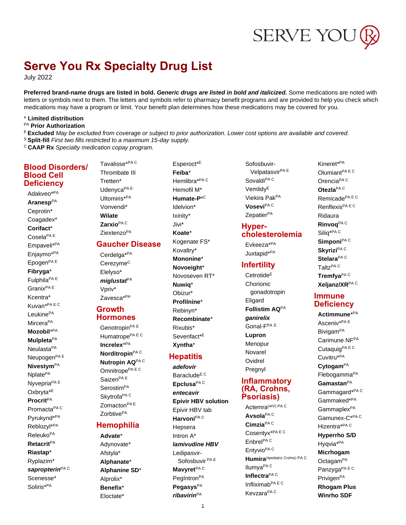# SERVE YOU

## **Serve You Rx Specialty Drug List**

**July 2022** 

Preferred brand-name drugs are listed in bold. Generic drugs are listed in bold and italicized. Some medications are noted with letters or symbols next to them. The letters and symbols refer to pharmacy benefit programs and are provided to help you check which medications may have a program or limit. Your benefit plan determines how these medications may be covered for you.

#### \* Limited distribution

PA Prior Authorization

E Excluded May be excluded from coverage or subject to prior authorization. Lower cost options are available and covered. <sup>S</sup> Split-fill First two fills restricted to a maximum 15-day supply.

<sup>C</sup> CAAP Rx Specialty medication copay program.

#### **Blood Disorders/ Blood Cell Deficiency**

Adakveo\*PA Aranesp<sup>PA</sup> Ceprotin\* Coagadex\* Corifact\* Cosela<sup>PAE</sup> Empaveli\*PA Enjaymo\*PA Epogen<sup>PAE</sup> Fibryga\* Fulphila<sup>PAE</sup> Granix<sup>PAE</sup> Kcentra\* Kuvan\*PAEC LeukinePA Mircera<sup>PA</sup> Mozobil\*PA **Mulpleta<sup>PA</sup>** Neulasta<sup>PA</sup> Neupogen<sup>PAE</sup> **Nivestym<sup>PA</sup>** Nplate<sup>PA</sup> Nyvepria<sup>PAE</sup> Oxbryta<sup>\*E</sup> **Procrit**PA Promacta<sup>PAC</sup> Pyrukynd\*PA Reblozyl\*PA Releuko<sup>PA</sup> **Retacrit**PA Riastap\* Ryplazim\* sapropterin<sup>PAC</sup> Scenesse\* Soliris\*<sup>PA</sup>

Thrombate III Tretten\* Udenyca<sup>PAE</sup> Ultomiris\*PA Vonvendi\* **Wilate** Zarxio<sup>PAC</sup> Ziextenzo<sup>PA</sup> **Gaucher Disease** Cerdelga<sup>\*PA</sup> Cerezyme<sup>C</sup> Elelyso\* miglustat<sup>PA</sup> Vpriv\* Zavesca<sup>\*PA</sup>

Tavalisse\*PAC

#### **Growth Hormones**

Genotropin<sup>PAE</sup> Humatrope<sup>PAEC</sup> Increlex\*PA Norditropin<sup>PAC</sup> Nutropin AQPAC Omnitrope<sup>PAEC</sup> Saizen<sup>PAE</sup> Serostim<sup>PA</sup> Skytrofa<sup>PA C</sup> Zomacton<sup>PAE</sup> Zorbtive<sup>PA</sup>

#### **Hemophilia**

Advate\* Adynovate\* Afstyla\* Alphanate\* Alphanine SD\* Alprolix\* Benefix\* Eloctate\*

Esperoct<sup>\*E</sup> Feiba\* Hemlibra\*PAC Hemofil M<sup>\*</sup> Humate-P<sup>\*C</sup> Idelvion\* Ixinity\* Jivi\* Koate\* Kogenate FS\* Kovaltry\* Mononine\* Novoeight\* Novoseven RT\* Nuwiq\* Obizur\* Profilnine\* Rebinyn\* Recombinate\* Rixubis\* Sevenfact<sup>\*E</sup> Xvntha\*

#### **Hepatitis**

adefovir Baraclude<sup>E C</sup> Epclusa<sup>PAC</sup> entecavir **Epivir HBV solution** Epivir HBV tab Harvoni<sup>PAC</sup> Hepsera Intron A\* lamivudine HBV Ledipasvir-Sofosbuvir<sup>PAE</sup> Mavyret<sup>PAC</sup> PegIntron<sup>PA</sup> Pegasys<sup>PA</sup> ribavirin<sup>PA</sup>

Sofosbuvir-Velpatasvir<sup>PA E</sup> Sovaldi<sup>PAC</sup> Vemlidv<sup>E</sup> Viekira PakPA Vosevi<sup>PAC</sup> Zepatier<sup>PA</sup>

#### Hypercholesterolemia

Evkeeza<sup>\*PA</sup> Juxtapid\*PA

#### **Infertility**

Cetrotide<sup>E</sup> Chorionic gonadotropin Eligard Follistim AQPA ganirelix Gonal-F<sup>PA E</sup> Lupron Menopur Novarel Ovidrel Pregnyl

#### Inflammatory (RA, Crohns, Psoriasis)

Actemra<sup>(\*IV)</sup> PA C Avsola<sup>PAC</sup> Cimzia<sup>PAC</sup> Cosentyx\*PAEC Enbrel<sup>PAC</sup> Entyvio<sup>PAC</sup> Humira<sup>(\*pediatric Crohns)</sup> PA C Ilumya<sup>PAC</sup> Inflectra<sup>PAC</sup> Infliximab<sup>PAEC</sup> Kevzara<sup>PA C</sup>

Kineret\*<sup>PA</sup> Olumiant<sup>PAEC</sup> Orencia<sup>PAC</sup> Otezla<sup>PAC</sup> Remicade<sup>PAEC</sup> Renflexis<sup>PAEC</sup> Ridaura Rinvoq<sup>PAC</sup> Silia<sup>\*PAC</sup> Simponi<sup>PAC</sup> Skyrizi<sup>PA C</sup> Stelara<sup>PAC</sup> Taltz<sup>PAC</sup> Tremfya<sup>PAC</sup> Xeljanz/XRPAC

#### **Immune Deficiency**

Actimmune\*PA Asceniv<sup>\*PA E</sup> **Bivigam<sup>PA</sup>** Carimune NFPA Cutaquig<sup>PAEC</sup> Cuvitru\*PA Cytogam<sup>PA</sup> FlebogammaPA Gamastan<sup>PA</sup> Gammagard\*PAC Gammaked\*PA Gammaplex<sup>PA</sup> Gamunex-C\*PAC Hizentra\*PAC **Hyperrho S/D** Hyqvia<sup>\*PA</sup> Micrhogam Octagam<sup>PA</sup> Panzyga<sup>PAEC</sup> Privigen<sup>PA</sup> **Rhogam Plus Winrho SDF**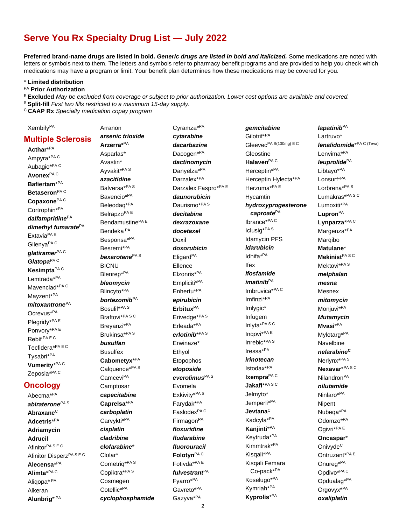## Serve You Rx Specialty Drug List - July 2022

Preferred brand-name drugs are listed in bold. Generic drugs are listed in bold and italicized. Some medications are noted with letters or symbols next to them. The letters and symbols refer to pharmacy benefit programs and are provided to help you check which medications may have a program or limit. Your benefit plan determines how these medications may be covered for you.

\* Limited distribution

#### PA Prior Authorization

E Excluded May be excluded from coverage or subject to prior authorization. Lower cost options are available and covered.

<sup>S</sup> Split-fill First two fills restricted to a maximum 15-day supply.

Arranon

<sup>c</sup> CAAP Rx Specialty medication copay program

Xembify<sup>PA</sup>

**Multiple Sclerosis** Acthar\*PA Ampyra\*PAC Aubagio<sup>\*PAC</sup> Avonex<sup>PAC</sup> Bafiertam<sup>\*PA</sup> Betaseron  $PAC$ Copaxone<sup>PAC</sup> Cortrophin\*PA dalfampridine $P^A$ dimethyl fumaratePA Extavia<sup>PAE</sup> Gilenya<sup>PA C</sup> glatiramer $PAC$ Glatopa<sup>PAC</sup> Kesimpta<sup>PAC</sup> I emtrada\*PA Mavenclad\*PAC Mayzent<sup>\*PA</sup>  $mitoxantrone<sup>PA</sup>$ Ocrevus<sup>\*PA</sup> Plegridy\*PAE Ponvorv<sup>\*PAE</sup> Rebif<sup>PAEC</sup> Tecfidera\*PAEC Tysabri\*PA Vumerity\*PAC Zeposia<sup>\*PAC</sup>

#### **Oncology**

Abecma<sup>\*PA</sup> abiraterone $P^{A \, S}$ Abraxane<sup>C</sup> Adcetris\*PA **Adriamycin Adrucil** Afinitor<sup>PASEC</sup> Afinitor Disperz<sup>PASEC</sup> Alecensa<sup>\*PA</sup> Alimta\*PAC Aliqopa\* PA Alkeran Alunbrig<sup>\* PA</sup>

arsenic trioxide Arzerra\*PA Asparlas\* Avastin\* Ayvakit\*PAS azacitidine Balversa\*PAS Bavencio<sup>\*PA</sup> Beleodag\*PA Belrapzo<sup>PAE</sup> Bendamustine<sup>PAE</sup> Bendeka<sup>PA</sup> Besponsa\*PA Besremi\*PA bexarotene<sup>PAS</sup> **BICNU** Blenrep\*PA bleomycin Blincyto\*PA bortezomib<sup>PA</sup> Bosulif\*PAS Braftovi\*PASC Breyanzi\*PA Brukinsa<sup>\*PAS</sup> busulfan **Busulfex** Cabometyx\*PA Calquence\*PA S Camcevi<sup>PA</sup> Camptosar capecitabine Caprelsa\*PA carboplatin Carvykti\*PA cisplatin cladribine clofarabine\* Clolar\* Cometrig\*PAS Copiktra\*PAS Cosmegen Cotellic\*PA

cyclophosphamide

Cyramza<sup>\*PA</sup> cytarabine dacarbazine Dacogen\*PA dactinomycin Danyelza<sup>\*PA</sup> Darzalex\*PA Darzalex Faspro\*PAE daunorubicin Daurismo\*PA<sub>S</sub> decitabine dexrazoxane docetaxel Doxil doxorubicin Eligard<sup>PA</sup> Ellence Elzonris\*PA Empliciti\*PA Enhertu\*PA epirubicin  $E$ rbitux<sup>PA</sup> Erivedge\*PA<sub>S</sub> Erleada\*PA erlotinib<sup>\*PAS</sup> Erwinaze\* Ethvol Etopophos etoposide everolimus<sup>PAS</sup> Evomela Exkivity\*PAS Farvdak\*<sup>PA</sup> Faslodex<sup>PAC</sup> Firmagon<sup>PA</sup> floxuridine fludarabine fluorouracil Folotyn<sup>PAC</sup> Fotivda<sup>\*PAE</sup> fulvestrant<sup>PA</sup> Fyarro\*PA Gavreto\*<sup>PA</sup> Gazyva<sup>\*PA</sup>

gemcitabine Gilotrif\*PA Gleevec<sup>PA S(100mg)</sup> E C Gleostine Halaven<sup>PAC</sup> Herceptin\*PA Herceptin Hylecta\*PA Herzuma\*PAE Hycamtin hydroxyprogesterone caproate<sup>PA</sup> lbrance\*PAC Iclusig\*PAS **Idamycin PFS** idarubicin Idhifa<sup>\*PA</sup> **Ifex** ifosfamide  $imatinib<sup>PA</sup>$ Imbruvica\*PAC Imfinzi\*PA Imlygic\* Infugem Inlyta\*PASC Inqovi\*PAE Inrebic<sup>\*PAS</sup>  $\sf{Iressa}^{*PA}$ irinotecan Istodax\*PA Ixempra<sup>PAC</sup> Jakafi\*PASC Jelmyto\* Jemperli\*<sup>PA</sup> Jevtana $\text{c}$ Kadcyla\*PA Kanjinti<sup>\*PA</sup> Keytruda\*PA Kimmtrak\*PA Kisgali<sup>\*PA</sup> Kisqali Femara Co-pack\*PA Koselugo\*<sup>PA</sup> Kymriah\*PA Kyprolis\*PA

lapatinib $PA$ Lartruvo\* **lenalidomide**\*PA C (Teva) Lenvima<sup>\*PA</sup> leuprolide<sup>PA</sup> Libtayo\*PA Lonsurf\*PA Lorbrena<sup>\*PAS</sup> Lumakras\*PASC Lumoxiti\*PA Lupron $PA$ Lynparza\*PAC Margenza<sup>\*PA</sup> Marqibo Matulane\* Mekinist<sup>PASC</sup> Mektovi\*PA<sub>S</sub> melphalan mesna Mesnex mitomycin Monjuvi<sup>\*PA</sup> **Mutamycin** Mvasi\*<sup>PA</sup> Mylotarg\*PA Navelbine nelarabine<sup>C</sup> Nerlynx<sup>\*PAS</sup> Nexavar\*PASC Nilandron<sup>PA</sup> nilutamide Ninlaro\*PA Nipent Nubega\*<sup>PA</sup> Odomzo\*PA Ogivri\*PAE Oncaspar\* Onivyde<sup>C</sup> Ontruzant\*PAE Onureg\*PA Opdivo<sup>\*PAC</sup> Opdualag<sup>\*PA</sup> Orgovyx<sup>\*PA</sup>

oxaliplatin

 $\overline{2}$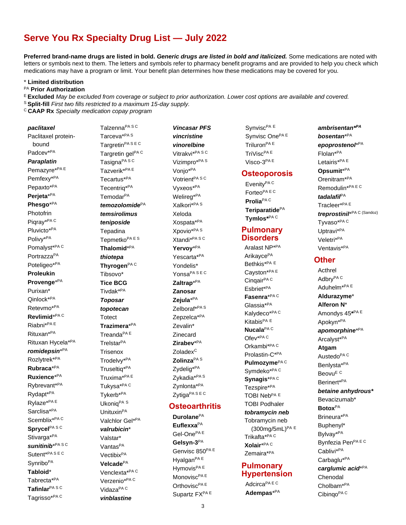## Serve You Rx Specialty Drug List - July 2022

Preferred brand-name drugs are listed in bold. Generic drugs are listed in bold and italicized. Some medications are noted with letters or symbols next to them. The letters and symbols refer to pharmacy benefit programs and are provided to help you check which medications may have a program or limit. Your benefit plan determines how these medications may be covered for you.

\* Limited distribution

PA Prior Authorization

E Excluded May be excluded from coverage or subject to prior authorization. Lower cost options are available and covered.

- <sup>S</sup> Split-fill First two fills restricted to a maximum 15-day supply.
- <sup>c</sup> CAAP Rx Specialty medication copay program

paclitaxel Paclitaxel proteinbound Padcev<sup>\*PA</sup> **Paraplatin** Pemazyre\*PAE Pemfexy<sup>\*PA</sup> Pepaxto\*PA Perjeta\*PA Phesgo\*PA Photofrin Piqray\*PAC Pluvicto\*PA Polivy\*PA Pomalyst\*PAC PortrazzaPA Poteligeo\*<sup>PA</sup> Proleukin Provenge\*PA Purixan\* Qinlock\*PA Reteymo<sup>\*PA</sup> Revlimid\*PAC Riabni\*PAE Rituxan<sup>\*PA</sup> Rituxan Hycela\*<sup>PA</sup> romidepsin\* $PA$ Rozlytrek\*<sup>PA</sup> Rubraca\*PA Ruxience\*PA Rybrevant\*PA Rydapt\*PA Rylaze\*PAE Sarclisa\*<sup>PA</sup> Scemblix\*PAC Sprycel<sup>PASC</sup> Stivarga\*PA sunitinib\*PASC Sutent\*PASEC Synribo<sup>PA</sup> Tabloid\* Tabrecta<sup>\*PA</sup> Tafinlar<sup>PASC</sup> Tagrisso\*PAC

Talzenna<sup>PASC</sup> Tarceva<sup>\*PAS</sup> Targretin<sup>PASEC</sup> Targretin gelPAC Tasigna<sup>PASC</sup> Tazverik\*<sup>PA E</sup> Tecartus\*PA Tecentrig\*PA Temodar<sup>PA</sup> temozolomide $P^A$ temsirolimus teniposide Tepadina Tepmetko<sup>PAES</sup> Thalomid\*PA thiotepa Thyrogen<sup>PAC</sup> Tibsovo\* **Tice BCG** Tivdak\*<sup>PA</sup> **Toposar** topotecan **Totect** Trazimera\*PA Treanda<sup>PA E</sup> Trelstar<sup>PA</sup> **Trisenox** Trodelvy\*PA Truseltiq\*PA Truxima\*PAE Tukysa\*PAC Tykerb\*PA Ukonig<sup>PA S</sup> Unituxin<sup>PA</sup> Valchlor Gel\*PA valrubicin<sup>\*</sup> Valstar\* Vantas<sup>PA</sup> Vectibix<sup>PA</sup> Velcade<sup>PA</sup> Venclexta\*PAC Verzenio\*PAC Vidaza<sup>PA C</sup>

vinblastine

**Vincasar PFS** vincristine vinorelbine Vitrakvi<sup>\*PASC</sup> Vizimpro\*PAS Vonjo\*PA Votrient<sup>PASC</sup> Vyxeos\*PA Welireg\*PA Xalkori\*PA S Xeloda Xospata<sup>\*PA</sup> Xpovio<sup>\*PAS</sup> Xtandi\*PASC Yervoy<sup>\*PA</sup> Yescarta\*PA Yondelis\* Yonsa<sup>PASEC</sup> Zaltrap\*PA Zanosar Zeiula\*PA Zelboraf\*PAS Zepzelca\*PA Zevalin\* Zinecard Zirabev\*PA Zoladex<sup>C</sup> Zolinza<sup>PAS</sup> Zydelig<sup>\*PA</sup> Zvkadia<sup>\*PAS</sup> Zynlonta\*PA Zytiga<sup>PASEC</sup>

#### Osteoarthritis

**Durolane**PA Euflexxa<sup>PA</sup> Gel-One<sup>PAE</sup> Gelsyn-3<sup>PA</sup> Genvisc 850PAE Hyalgan<sup>PAE</sup> Hymovis<sup>PAE</sup> Monovisc<sup>PAE</sup> Orthovisc<sup>PAE</sup> Supartz FXPAE

Synvisc<sup>PA E</sup> Synvisc One<sup>PAE</sup> Triluron<sup>PA E</sup> TriVisc<sup>PA E</sup> Visco-3PAE

#### Osteoporosis

EvenityPAC Forteo<sup>PAEC</sup> Prolia<sup>PAC</sup> Teriparatide<sup>PA</sup> Tymlos\*PAC

#### **Pulmonary Disorders**

Aralast NP\*PA Arikayce<sup>PA</sup> Bethkis<sup>\*PA E</sup> Cayston\*PAE Cinqair<sup>PA C</sup> Esbriet\*PA Fasenra\*PAC Glassia<sup>\*PA</sup> Kalydeco\*PAC Kitabis<sup>PA E</sup> Nucala<sup>PAC</sup> Ofev<sup>\*PAC</sup> Orkambi\*PAC Prolastin-C\*PA Pulmozvme<sup>PAC</sup> Symdeko\*PAC Synagis\*PAC Tezspire\*PA TOBI Neb<sup>PA E</sup> **TOBI Podhaler** tobramycin neb Tobramycin neb (300mg/5mL)PA E Trikafta\*PAC Xolair\*PAC Zemaira\*PA

#### Pulmonary **Hypertension**

Adcirca<sup>PAEC</sup> Adempas\*PA ambrisentan<sup>\*PA</sup> bosentan\*PA epoprostenol\*PA Flolan<sup>\*PA</sup> Letairis\*<sup>PAE</sup> Opsumit<sup>\*PA</sup> Orenitram<sup>\*PA</sup> Remodulin\*PAEC tadalafi $P^A$ Tracleer\*PAE treprostinil\*PA C (Sandoz) Tyvaso\*PAC Uptravi\*PA Veletri\*PA Ventavis<sup>\*PA</sup>

#### **Other**

Acthrel Adbry<sup>PAC</sup> Aduhelm<sup>\*PAE</sup> Aldurazyme\* Alferon N\* Amondys 45\*PAE Apokyn\*PA apomorphine\*PA Arcalyst\*PA Atgam Austedo<sup>PA C</sup> Benlysta\*PA Beovu<sup>E C</sup> Berinert\*PA betaine anhydrous\* Bevacizumab\* **Botox**<sup>PA</sup> Brineura\*PA Buphenvl\* Bylvav<sup>\*PA</sup> Bynfezia PenPAEC Cablivi\*PA Carbaglu<sup>\*PA</sup> carglumic acid<sup>\*PA</sup> Chenodal Cholbam<sup>\*PA</sup> Cibingo<sup>PA C</sup>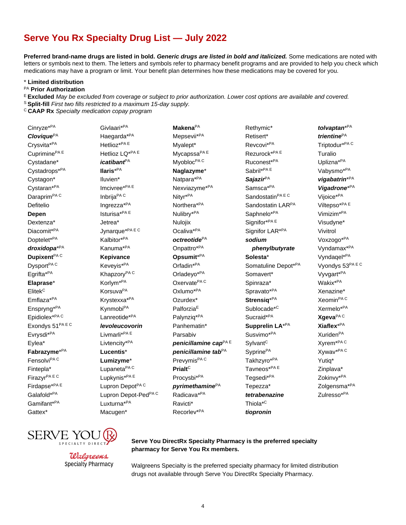## Serve You Rx Specialty Drug List - July 2022

Preferred brand-name drugs are listed in bold. Generic drugs are listed in bold and italicized. Some medications are noted with letters or symbols next to them. The letters and symbols refer to pharmacy benefit programs and are provided to help you check which medications may have a program or limit. Your benefit plan determines how these medications may be covered for you.

\* Limited distribution

PA Prior Authorization

E Excluded May be excluded from coverage or subject to prior authorization. Lower cost options are available and covered.

<sup>S</sup> Split-fill First two fills restricted to a maximum 15-day supply.

<sup>c</sup> CAAP Rx Specialty medication copay program

Cinryze\*PA Clovique<sup>PA</sup> Crysvita\*PA Cuprimine<sup>PAE</sup> Cystadane\* Cystadrops\*PA Cystagon\* Cystaran\*PA Daraprim<sup>PAC</sup> Defitelio Depen Dextenza\* Diacomit\*PA Doptelet\*<sup>PA</sup> droxidopa\*PA Dupixent  $PAC$ Dysport<sup>PAC</sup> Egrifta\*PA Elaprase\* Elitek<sup>C</sup> Emflaza\*PA Enspryng\*PA Epidiolex\*PAC Exondys 51PAEC Evrysdi<sup>\*PA</sup> Eylea\* Fabrazyme<sup>\*PA</sup> Fensolvi<sup>PA C</sup> Fintepla\* Firazyr<sup>PAEC</sup> Firdapse\*PAE Galafold\*PA Gamifant\*PA Gattex\*

Givlaari\*PA Haegarda\*<sup>PA</sup> Hetlioz\*PAE Hetlioz LQ\*PAE *icatibant<sup>PA</sup>* llaris<sup>\*PA</sup> Iluvien\* Imcivree\*PAE Inbrija<sup>PA C</sup> Ingrezza\*PA Isturisa\*PAE Jetrea\* Jynarque\*PAEC Kalbitor\*PA Kanuma\*PA Kepivance Keveyis\*PA Khapzory<sup>PAC</sup> Korlym<sup>\*PA</sup> Korsuva<sup>PA</sup> Krystexxa<sup>\*PA</sup> Kynmobi<sup>PA</sup> Lanreotide\*PA levoleucovorin Livmarli\*PAE Livtencity\*PA Lucentis\* Lumizyme\* Lupaneta<sup>PAC</sup> Lupkynis\*PAE Lupron Depot<sup>PAC</sup> Lupron Depot-Ped<sup>PAC</sup> Luxturna\*PA Macugen\*

Makena<sup>PA</sup> Mepsevii<sup>\*PA</sup> Myalept\* Mycapssa<sup>PAE</sup> Myobloc<sup>PAC</sup> Naglazyme\* Natpara\*PA Nexviazyme\*PA Nityr\*PA Northera\*PA Nulibry\*PA Nulojix Ocaliva<sup>\*PA</sup> octreotide<sup>PA</sup> Onpattro\*PA Opsumit<sup>\*PA</sup> Orfadin<sup>\*PA</sup> Orladeyo\*PA Oxervate<sup>PAC</sup> Oxlumo\*PA Ozurdex\* Palforzia<sup>E</sup> Palynziq\*PA Panhematin\* Parsabiv penicillamine cap<sup>PAE</sup> penicillamine tab $PA$ Prevymis<sup>PAC</sup> Prialt<sup>C</sup> Procysbi\*PA pyrimethamine $P^A$ Radicava<sup>\*PA</sup> Ravicti\* Recorlev<sup>\*PA</sup>

Rethymic\* Retisert\* Revcovi<sup>\*PA</sup> Rezurock\*PAE Ruconest\*PA Sabril\*PAE Sajazir<sup>PA</sup> Samsca\*PA Sandostatin<sup>PAEC</sup> Sandostatin LARPA Saphnelo\*PA Signifor\*PAE Signifor LAR<sup>\*PA</sup> sodium phenylbutyrate Solesta\* Somatuline Depot\*PA Somavert\* Spinraza\* Spravato\*PA Strensia<sup>\*PA</sup> Sublocade<sup>\*C</sup> Sucraid\*PA Supprelin LA\*PA Susvimo\*PA Sylvant<sup>C</sup> Svprine<sup>PA</sup> Takhzyro\*PA Tavneos\*PAE Tegsedi\*PA Tepezza\* tetrabenazine Thiola<sup>\*C</sup> tiopronin

tolvaptan<sup>\*PA</sup> trientine<sup>PA</sup> Triptodur\*PAC Turalio Uplizna\*PA Vabysmo\*PA vigabatrin\*PA Vigadrone<sup>\*PA</sup> Vijoice\*PA Viltepso\*PAE Vimizim<sup>\*PA</sup> Visudyne\* Vivitrol Voxzogo\*PA Vyndamax\*PA Vyndagel\*PA Vyondys 53PA EC Vyvgart\*PA Wakix<sup>\*PA</sup> Xenazine\* Xeomin<sup>PAC</sup> Xermelo\*PA Xqeva<sup>PAC</sup> Xiaflex\*PA Xuriden<sup>PA</sup> Xyrem<sup>\*PAC</sup> Xywav\*PAC Yutig\* Zinplava\* Zokinvy\*PA Zolgensma<sup>\*PA</sup> Zulresso\*PA





#### Serve You DirectRx Specialty Pharmacy is the preferred specialty pharmacy for Serve You Rx members.

Walgreens Specialty is the preferred specialty pharmacy for limited distribution drugs not available through Serve You DirectRx Specialty Pharmacy.